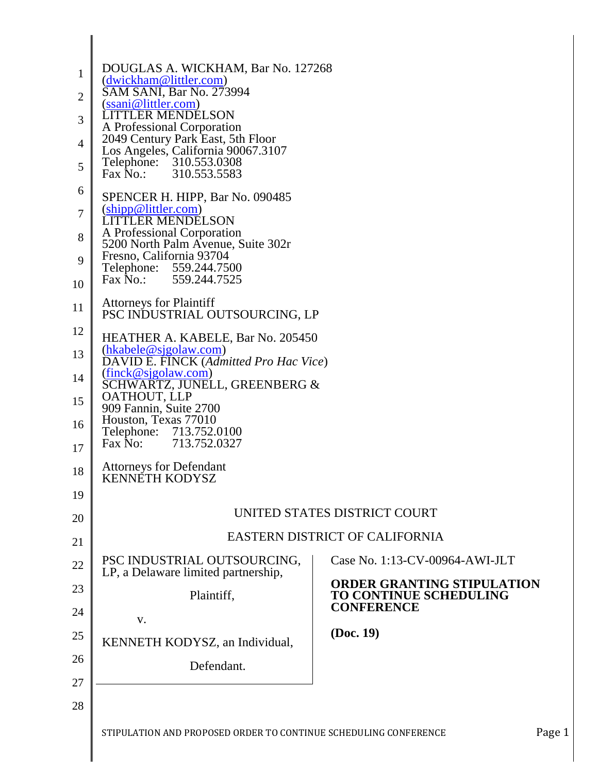| $\mathbf{1}$<br>$\mathbf{2}$ | DOUGLAS A. WICKHAM, Bar No. 127268<br>(dwickham@littler.com)<br>SAM SANI, Bar No. 273994              |                                                                    |  |  |
|------------------------------|-------------------------------------------------------------------------------------------------------|--------------------------------------------------------------------|--|--|
| 3                            | (ssani@littler.com)<br><b>LITTLER MENDELSON</b>                                                       |                                                                    |  |  |
| $\overline{4}$               | A Professional Corporation<br>2049 Century Park East, 5th Floor<br>Los Angeles, California 90067.3107 |                                                                    |  |  |
| 5                            | Telephone: 310.553.0308<br>Fax No.: 310.553.5583                                                      |                                                                    |  |  |
| 6                            | SPENCER H. HIPP, Bar No. 090485                                                                       |                                                                    |  |  |
| $\boldsymbol{7}$             | $(\text{ship@littler.com})$<br><b>LITTLER MENDELSON</b>                                               |                                                                    |  |  |
| 8                            | A Professional Corporation<br>5200 North Palm Avenue, Suite 302r                                      |                                                                    |  |  |
| 9<br>10                      | Fresno, California 93704<br>Telephone: 559.244.7500<br>Fax No.: 559.244.7525                          |                                                                    |  |  |
| 11                           | <b>Attorneys for Plaintiff</b><br>PSC INDUSTRIAL OUTSOURCING, LP                                      |                                                                    |  |  |
| 12                           | HEATHER A. KABELE, Bar No. 205450<br>(hkabele@sjgolaw.com)<br>DAVID E. FINCK (Admitted Pro Hac Vice)  |                                                                    |  |  |
| 13                           |                                                                                                       |                                                                    |  |  |
| 14                           | (finck@sjgolaw.com)<br>SCHWARTZ, JUNELL, GREENBERG &                                                  |                                                                    |  |  |
| 15                           | OATHOUT, LLP<br>909 Fannin, Suite 2700                                                                |                                                                    |  |  |
| 16                           | Houston, Texas 77010<br>Telephone:<br>713.752.0100<br>Fax No:<br>713.752.0327                         |                                                                    |  |  |
| 17                           | <b>Attorneys for Defendant</b>                                                                        |                                                                    |  |  |
| 18<br>19                     | <b>KENNÉTH KODYSZ</b>                                                                                 |                                                                    |  |  |
| 20                           | UNITED STATES DISTRICT COURT                                                                          |                                                                    |  |  |
| 21                           | <b>EASTERN DISTRICT OF CALIFORNIA</b>                                                                 |                                                                    |  |  |
| 22                           | PSC INDUSTRIAL OUTSOURCING,                                                                           | Case No. 1:13-CV-00964-AWI-JLT                                     |  |  |
| 23                           | LP, a Delaware limited partnership,<br>Plaintiff,                                                     | <b>ORDER GRANTING STIPULATION</b><br><b>TO CONTINUE SCHEDULING</b> |  |  |
| 24                           | V.                                                                                                    | <b>CONFERENCE</b>                                                  |  |  |
| 25                           | KENNETH KODYSZ, an Individual,                                                                        | (Doc. 19)                                                          |  |  |
| 26                           | Defendant.                                                                                            |                                                                    |  |  |
| 27                           |                                                                                                       |                                                                    |  |  |
| 28                           | STIPULATION AND PROPOSED ORDER TO CONTINUE SCHEDULING CONFERENCE                                      | Page 1                                                             |  |  |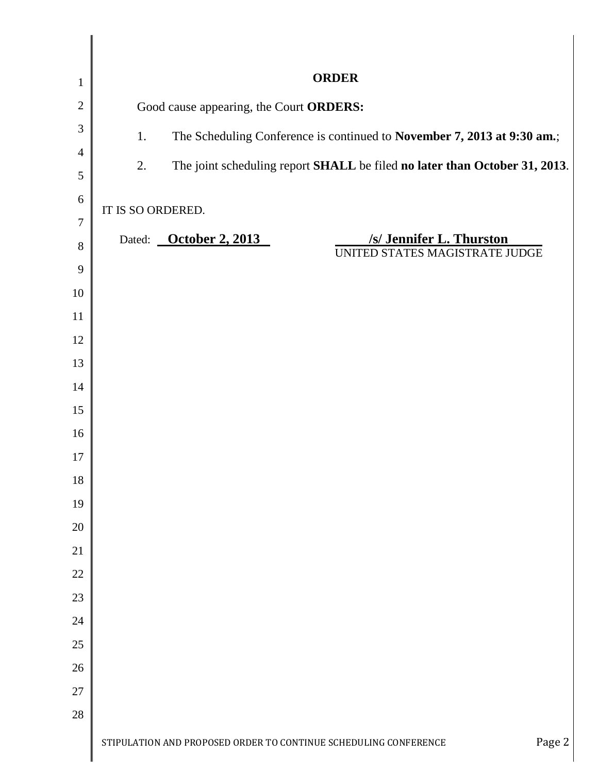| $\mathbf{1}$   | <b>ORDER</b>                                                                     |  |  |
|----------------|----------------------------------------------------------------------------------|--|--|
| $\overline{2}$ | Good cause appearing, the Court ORDERS:                                          |  |  |
| 3              | The Scheduling Conference is continued to November 7, 2013 at 9:30 am.;<br>1.    |  |  |
| $\overline{4}$ | 2.<br>The joint scheduling report SHALL be filed no later than October 31, 2013. |  |  |
| 5              |                                                                                  |  |  |
| 6              | IT IS SO ORDERED.                                                                |  |  |
| $\overline{7}$ | Dated: October 2, 2013<br>/s/ Jennifer L. Thurston                               |  |  |
| 8<br>9         | UNITED STATES MAGISTRATE JUDGE                                                   |  |  |
| 10             |                                                                                  |  |  |
| 11             |                                                                                  |  |  |
| 12             |                                                                                  |  |  |
| 13             |                                                                                  |  |  |
| 14             |                                                                                  |  |  |
| 15             |                                                                                  |  |  |
| 16             |                                                                                  |  |  |
| 17             |                                                                                  |  |  |
| 18             |                                                                                  |  |  |
| 19             |                                                                                  |  |  |
| 20             |                                                                                  |  |  |
| 21             |                                                                                  |  |  |
| 22<br>23       |                                                                                  |  |  |
| 24             |                                                                                  |  |  |
| 25             |                                                                                  |  |  |
| 26             |                                                                                  |  |  |
| 27             |                                                                                  |  |  |
| 28             |                                                                                  |  |  |
|                | Page 2<br>STIPULATION AND PROPOSED ORDER TO CONTINUE SCHEDULING CONFERENCE       |  |  |